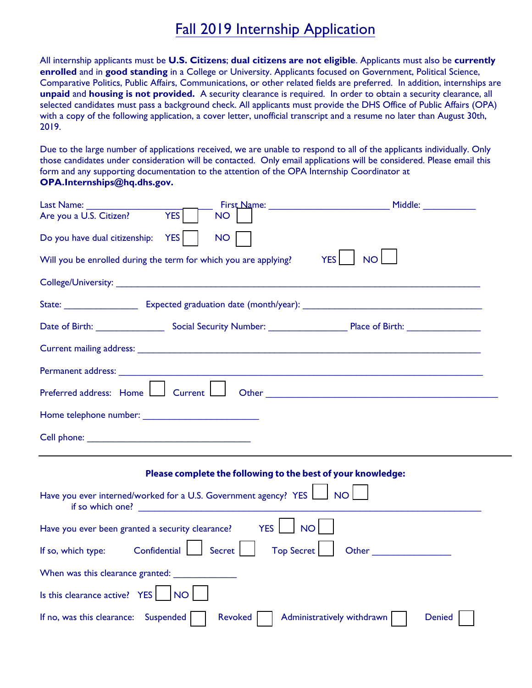## Fall 2019 Internship Application

All internship applicants must be **U.S. Citizens**; **dual citizens are not eligible**. Applicants must also be **currently enrolled** and in **good standing** in a College or University. Applicants focused on Government, Political Science, Comparative Politics, Public Affairs, Communications, or other related fields are preferred. In addition, internships are **unpaid** and **housing is not provided.** A security clearance is required. In order to obtain a security clearance, all selected candidates must pass a background check. All applicants must provide the DHS Office of Public Affairs (OPA) with a copy of the following application, a cover letter, unofficial transcript and a resume no later than August 30th, 2019.

Due to the large number of applications received, we are unable to respond to all of the applicants individually. Only those candidates under consideration will be contacted. Only email applications will be considered. Please email this form and any supporting documentation to the attention of the OPA Internship Coordinator at **OPA.Internships@hq.dhs.gov.**

| Last Name: _________                                                                                                                                                                                                                |                             |                                                                                                                                                                                                                               | Middle: ____________ |
|-------------------------------------------------------------------------------------------------------------------------------------------------------------------------------------------------------------------------------------|-----------------------------|-------------------------------------------------------------------------------------------------------------------------------------------------------------------------------------------------------------------------------|----------------------|
| <b>YES</b><br>Are you a U.S. Citizen?                                                                                                                                                                                               | NO                          |                                                                                                                                                                                                                               |                      |
| <b>YES</b><br>Do you have dual citizenship:                                                                                                                                                                                         | <b>NO</b>                   |                                                                                                                                                                                                                               |                      |
| Will you be enrolled during the term for which you are applying?                                                                                                                                                                    |                             | <b>NO</b><br><b>YES</b>                                                                                                                                                                                                       |                      |
| <b>College/University:</b> The college of the college of the college of the college of the college of the college of the college of the college of the college of the college of the college of the college of the college of the c |                             |                                                                                                                                                                                                                               |                      |
|                                                                                                                                                                                                                                     |                             |                                                                                                                                                                                                                               |                      |
| Date of Birth: Social Security Number: Place of Birth: Place of Birth:                                                                                                                                                              |                             |                                                                                                                                                                                                                               |                      |
|                                                                                                                                                                                                                                     |                             |                                                                                                                                                                                                                               |                      |
|                                                                                                                                                                                                                                     |                             |                                                                                                                                                                                                                               |                      |
| Preferred address: Home<br>Current L                                                                                                                                                                                                |                             |                                                                                                                                                                                                                               |                      |
|                                                                                                                                                                                                                                     |                             |                                                                                                                                                                                                                               |                      |
|                                                                                                                                                                                                                                     |                             |                                                                                                                                                                                                                               |                      |
|                                                                                                                                                                                                                                     |                             | Please complete the following to the best of your knowledge:                                                                                                                                                                  |                      |
| Have you ever interned/worked for a U.S. Government agency? YES<br>if so which one?                                                                                                                                                 |                             | <b>NO</b>                                                                                                                                                                                                                     |                      |
| Have you ever been granted a security clearance?                                                                                                                                                                                    | YES                         | <b>NO</b>                                                                                                                                                                                                                     |                      |
| Confidential<br>If so, which type:                                                                                                                                                                                                  | <b>Top Secret</b><br>Secret | Other and the contract of the contract of the contract of the contract of the contract of the contract of the contract of the contract of the contract of the contract of the contract of the contract of the contract of the |                      |
|                                                                                                                                                                                                                                     |                             |                                                                                                                                                                                                                               |                      |
| Is this clearance active? YES<br><b>NO</b>                                                                                                                                                                                          |                             |                                                                                                                                                                                                                               |                      |
| If no, was this clearance: Suspended                                                                                                                                                                                                | <b>Revoked</b>              | Administratively withdrawn                                                                                                                                                                                                    | <b>Denied</b>        |